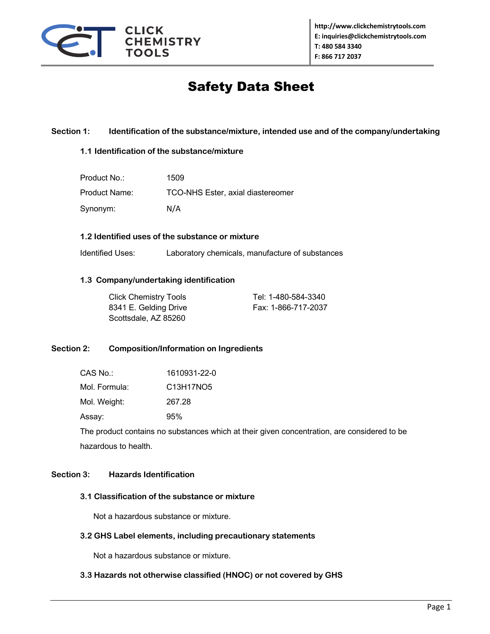

# Safety Data Sheet

## **Section 1: Identification of the substance/mixture, intended use and of the company/undertaking**

#### **1.1 Identification of the substance/mixture**

| Product No.:  | 1509                              |
|---------------|-----------------------------------|
| Product Name: | TCO-NHS Ester, axial diastereomer |
| Synonym:      | N/A                               |

#### **1.2 Identified uses of the substance or mixture**

Identified Uses: Laboratory chemicals, manufacture of substances

## **1.3 Company/undertaking identification**

| <b>Click Chemistry Tools</b> | Tel: 1-480-584-3340 |
|------------------------------|---------------------|
| 8341 E. Gelding Drive        | Fax: 1-866-717-2037 |
| Scottsdale, AZ 85260         |                     |

# **Section 2: Composition/Information on Ingredients**

| CAS No.:      | 1610931-22-0 |
|---------------|--------------|
| Mol. Formula: | C13H17NO5    |
| Mol. Weight:  | 267.28       |
| Assay:        | 95%          |

The product contains no substances which at their given concentration, are considered to be hazardous to health.

#### **Section 3: Hazards Identification**

#### **3.1 Classification of the substance or mixture**

Not a hazardous substance or mixture.

#### **3.2 GHS Label elements, including precautionary statements**

Not a hazardous substance or mixture.

# **3.3 Hazards not otherwise classified (HNOC) or not covered by GHS**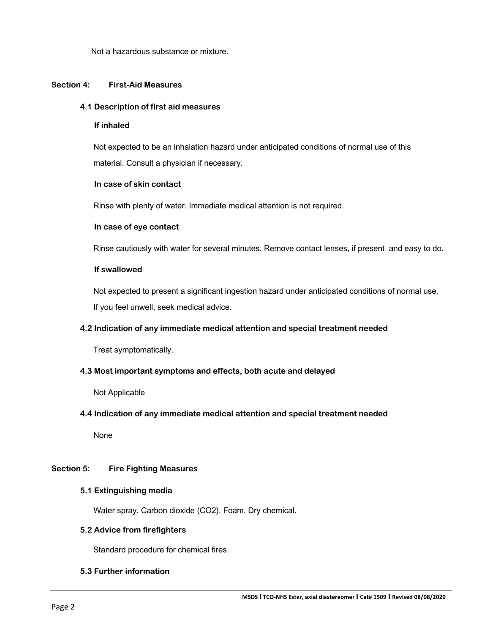Not a hazardous substance or mixture.

## **Section 4: First-Aid Measures**

#### **4.1 Description of first aid measures**

#### **If inhaled**

 Not expected to be an inhalation hazard under anticipated conditions of normal use of this material. Consult a physician if necessary.

#### **In case of skin contact**

Rinse with plenty of water. Immediate medical attention is not required.

#### **In case of eye contact**

Rinse cautiously with water for several minutes. Remove contact lenses, if present and easy to do.

## **If swallowed**

 Not expected to present a significant ingestion hazard under anticipated conditions of normal use. If you feel unwell, seek medical advice.

# **4.2 Indication of any immediate medical attention and special treatment needed**

Treat symptomatically.

#### **4.3 Most important symptoms and effects, both acute and delayed**

Not Applicable

#### **4.4 Indication of any immediate medical attention and special treatment needed**

None

# **Section 5: Fire Fighting Measures**

#### **5.1 Extinguishing media**

Water spray. Carbon dioxide (CO2). Foam. Dry chemical.

#### **5.2 Advice from firefighters**

Standard procedure for chemical fires.

#### **5.3 Further information**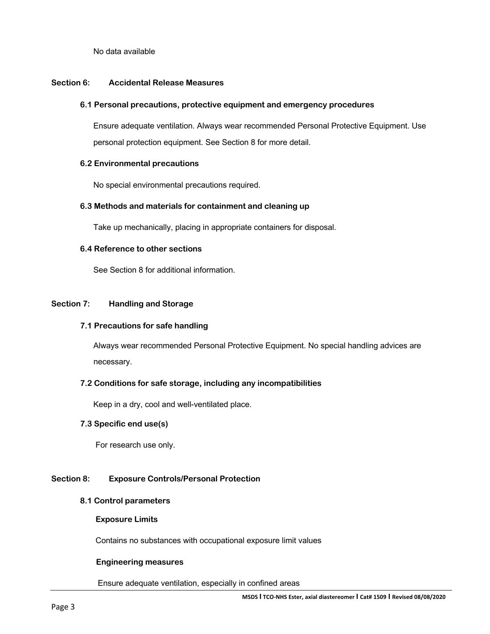No data available

## **Section 6: Accidental Release Measures**

#### **6.1 Personal precautions, protective equipment and emergency procedures**

 Ensure adequate ventilation. Always wear recommended Personal Protective Equipment. Use personal protection equipment. See Section 8 for more detail.

## **6.2 Environmental precautions**

No special environmental precautions required.

## **6.3 Methods and materials for containment and cleaning up**

Take up mechanically, placing in appropriate containers for disposal.

## **6.4 Reference to other sections**

See Section 8 for additional information.

## **Section 7: Handling and Storage**

#### **7.1 Precautions for safe handling**

 Always wear recommended Personal Protective Equipment. No special handling advices are necessary.

# **7.2 Conditions for safe storage, including any incompatibilities**

Keep in a dry, cool and well-ventilated place.

# **7.3 Specific end use(s)**

For research use only.

# **Section 8: Exposure Controls/Personal Protection**

#### **8.1 Control parameters**

**Exposure Limits**

Contains no substances with occupational exposure limit values

#### **Engineering measures**

Ensure adequate ventilation, especially in confined areas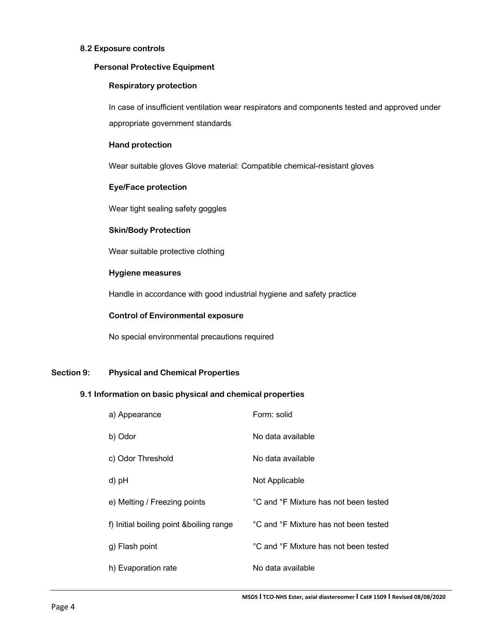## **8.2 Exposure controls**

#### **Personal Protective Equipment**

## **Respiratory protection**

 In case of insufficient ventilation wear respirators and components tested and approved under appropriate government standards

## **Hand protection**

Wear suitable gloves Glove material: Compatible chemical-resistant gloves

## **Eye/Face protection**

Wear tight sealing safety goggles

## **Skin/Body Protection**

Wear suitable protective clothing

# **Hygiene measures**

Handle in accordance with good industrial hygiene and safety practice

## **Control of Environmental exposure**

No special environmental precautions required

# **Section 9: Physical and Chemical Properties**

# **9.1 Information on basic physical and chemical properties**

| a) Appearance                           | Form: solid                           |
|-----------------------------------------|---------------------------------------|
| b) Odor                                 | No data available                     |
| c) Odor Threshold                       | No data available                     |
| d) pH                                   | Not Applicable                        |
| e) Melting / Freezing points            | °C and °F Mixture has not been tested |
| f) Initial boiling point &boiling range | °C and °F Mixture has not been tested |
| g) Flash point                          | °C and °F Mixture has not been tested |
| h) Evaporation rate                     | No data available                     |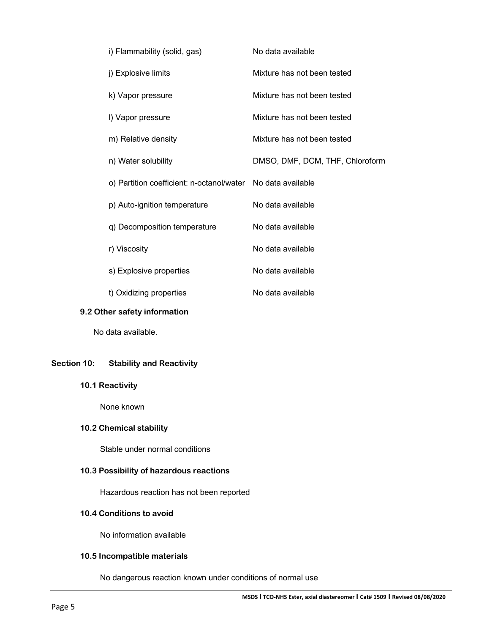| i) Flammability (solid, gas)                                | No data available               |
|-------------------------------------------------------------|---------------------------------|
| j) Explosive limits                                         | Mixture has not been tested     |
| k) Vapor pressure                                           | Mixture has not been tested     |
| I) Vapor pressure                                           | Mixture has not been tested     |
| m) Relative density                                         | Mixture has not been tested     |
| n) Water solubility                                         | DMSO, DMF, DCM, THF, Chloroform |
| o) Partition coefficient: n-octanol/water No data available |                                 |
| p) Auto-ignition temperature                                | No data available               |
| q) Decomposition temperature                                | No data available               |
| r) Viscosity                                                | No data available               |
| s) Explosive properties                                     | No data available               |
| t) Oxidizing properties                                     | No data available               |

## **9.2 Other safety information**

No data available.

# **Section 10: Stability and Reactivity**

# **10.1 Reactivity**

None known

# **10.2 Chemical stability**

Stable under normal conditions

# **10.3 Possibility of hazardous reactions**

Hazardous reaction has not been reported

# **10.4 Conditions to avoid**

No information available

# **10.5 Incompatible materials**

No dangerous reaction known under conditions of normal use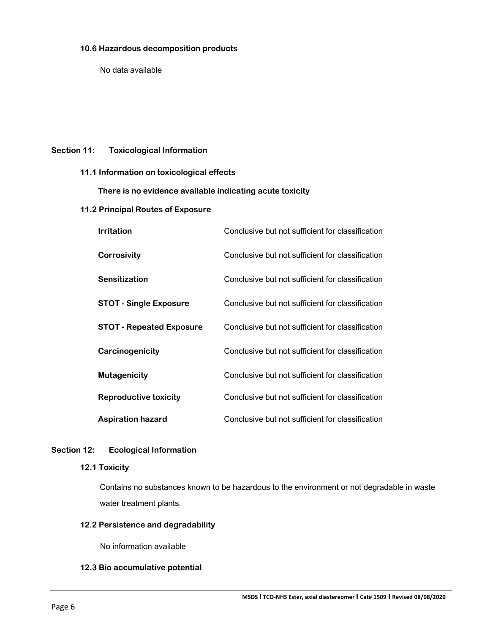## **10.6 Hazardous decomposition products**

No data available

# **Section 11: Toxicological Information**

## **11.1 Information on toxicological effects**

 **There is no evidence available indicating acute toxicity**

# **11.2 Principal Routes of Exposure**

| <b>Irritation</b>               | Conclusive but not sufficient for classification |
|---------------------------------|--------------------------------------------------|
| Corrosivity                     | Conclusive but not sufficient for classification |
| Sensitization                   | Conclusive but not sufficient for classification |
| <b>STOT - Single Exposure</b>   | Conclusive but not sufficient for classification |
| <b>STOT - Repeated Exposure</b> | Conclusive but not sufficient for classification |
| Carcinogenicity                 | Conclusive but not sufficient for classification |
| <b>Mutagenicity</b>             | Conclusive but not sufficient for classification |
| Reproductive toxicity           | Conclusive but not sufficient for classification |
| <b>Aspiration hazard</b>        | Conclusive but not sufficient for classification |

# **Section 12: Ecological Information**

# **12.1 Toxicity**

Contains no substances known to be hazardous to the environment or not degradable in waste water treatment plants.

# **12.2 Persistence and degradability**

No information available

# **12.3 Bio accumulative potential**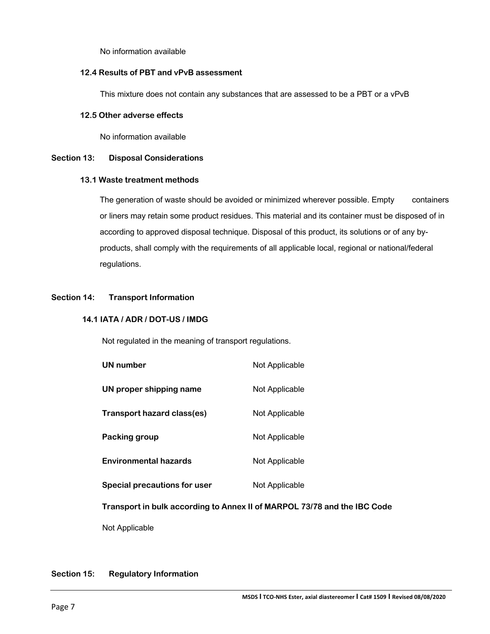No information available

## **12.4 Results of PBT and vPvB assessment**

This mixture does not contain any substances that are assessed to be a PBT or a vPvB

## **12.5 Other adverse effects**

No information available

# **Section 13: Disposal Considerations**

## **13.1 Waste treatment methods**

The generation of waste should be avoided or minimized wherever possible. Empty containers or liners may retain some product residues. This material and its container must be disposed of in according to approved disposal technique. Disposal of this product, its solutions or of any byproducts, shall comply with the requirements of all applicable local, regional or national/federal regulations.

# **Section 14: Transport Information**

# **14.1 IATA / ADR / DOT-US / IMDG**

Not regulated in the meaning of transport regulations.

| UN number                    | Not Applicable |
|------------------------------|----------------|
| UN proper shipping name      | Not Applicable |
| Transport hazard class(es)   | Not Applicable |
| Packing group                | Not Applicable |
| <b>Environmental hazards</b> | Not Applicable |
| Special precautions for user | Not Applicable |

 **Transport in bulk according to Annex II of MARPOL 73/78 and the IBC Code**

Not Applicable

# **Section 15: Regulatory Information**